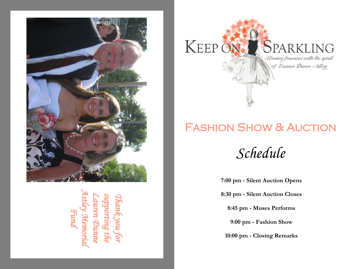

*Lauren Dunne supporting the Thank you for Astley Memorial Fund* 



# Fashion Show & Auction

*Schedule* 

**7:00 pm - Silent Auction Opens**

**8:30 pm - Silent Auction Closes**

**8:45 pm - Muses Performs**

**9:00 pm - Fashion Show**

**10:00 pm - Closing Remarks**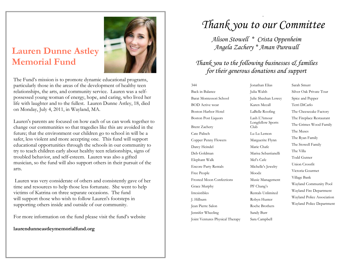### **Lauren Dunne Astley Memorial Fund**



The Fund's mission is to promote dynamic educational programs, particularly those in the areas of the development of healthy teen relationships, the arts, and community service. Lauren was a selfpossessed young woman of energy, hope, and caring, who lived her life with laughter and to the fullest. Lauren Dunne Astley, 18, died on Monday, July 4, 2011, in Wayland, MA.

Lauren's parents are focused on how each of us can work together to change our communities so that tragedies like this are avoided in the future; that the environment our children go to school in will be a safer, less violent and more accepting one. This fund will support educational opportunities through the schools in our community to try to teach children early about healthy teen relationships, signs of troubled behavior, and self-esteem. Lauren was also a gifted musician, so the fund will also support others in their pursuit of the arts.

Lauren was very considerate of others and consistently gave of her time and resources to help those less fortunate. She went to help victims of Katrina on three separate occasions. The fund will support those who wish to follow Lauren's footsteps in supporting others inside and outside of our community.

For more information on the fund please visit the fund's website

**laurendunneastleymemorialfund.org**

### *Thank you to our Committee*

.

*Alison Stowell \* Crista Oppenheim Angela Zachery \* Aman Purewall*

### *Thank you to the following businesses & families for their generous donations and support*

Back in Balance Julia Walsh Silver Oak Private Tour Private TourPepper Barat Montessori School Julie Sheehan Lowey Spice and Pepper BOD Active wear Karen Mccall Terri DiCarlo Boston Harbor Hotel LaBelle Roofing The Cheesecake Factory Boston Post Liquors Lash L'Amour The Fireplace Restaurant Brent Zachery Cate Palisch Lu Lu Lemon The Muses Lu Lu Lemon Copper Penny Flowers Darcy Heindel Deb Goldman Marisa Sebastianelli The Villa Marisa Sebastianelli Elephant Walk Encore Party Rentals Free People Frosted Moon Confections Grace Murphy Irresistibles Rentals Unlimited Wayland Fire Department J. Hilburn Robyn Hunter Wayland Police Association Robyn Hunter Jean Pierre Salon Jennifer Wheeling Joint Ventures Physical Therapy

344 Jonathan Elias Sarah Smurr Jonathan Elias Longfellow Sports Longfellow Sports Julia Walsh Julie Sheehan Lowey Karen Mccall LaBelle Roofing Lash L'Amour Club Marguerite Flynn Marie Chafe Mel's Cafe Michelle's Jewelry Moodz Music Management PF Chang's Roche Brothers Sandy Burr

Sara Campbell

lub The Grimes wood Family Sarah Smurr Terri DiCarlo<br>The Cheesecake Factory<br>The Fireplace Restaurant<br>The Grimes Wood Family The Muses The Ryan Family The Stowell Family The Villa Todd Gutner Union Crossfit Victoria Gourmet Village Bank Wayland Community Pool Wayland Fire Department Wayland Police Association Wayland Police Department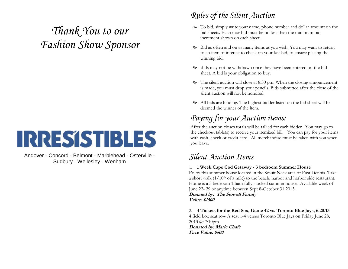# *Thank You to our Fashion Show Sponsor*

# IRRESSTBLES

Andover - Concord - Belmont - Marblehead - Osterville - Sudbury - Wellesley - Wenham

### *Rules of the Silent Auction*

- To bid, simply write your name, phone number and dollar amount on the bid sheets. Each new bid must be no less than the minimum bid increment shown on each sheet.
- Bid as often and on as many items as you wish. You may want to return to an item of interest to check on your last bid, to ensure placing the winning bid.
- Bids may not be withdrawn once they have been entered on the bid sheet. A bid is your obligation to buy.
- $\approx$  The silent auction will close at 8:30 pm. When the closing announcement is made, you must drop your pencils. Bids submitted after the close of the silent auction will not be honored.
- All bids are binding. The highest bidder listed on the bid sheet will be deemed the winner of the item.

### *Paying for your Auction items:*

After the auction closes totals will be tallied for each bidder. You may go to the checkout table(s) to receive your itemized bill. You can pay for your items with cash, check or credit card. All merchandise must be taken with you when you leave.

### *Silent Auction Items*

#### 1. **1 Week Cape Cod Getaway - 3 bedroom Summer House**

Enjoy this summer house located in the Sesuit Neck area of East Dennis. Take a short walk  $(1/10<sup>th</sup>$  of a mile) to the beach, harbor and harbor side restaurant. Home is a 3 bedroom 1 bath fully stocked summer house. Available week of June 22- 29 or anytime between Sept 8-October 31 2013.

**Donated by: The Stowell Family Value: \$1500**

2. **4 Tickets for the Red Sox, Game 42 vs. Toronto Blue Jays, 6.28.13** 4 field box seat row A seat 1-4 versus Toronto Blue Jays on Friday June 28, 2013 @ 7:10pm **Donated by: Marie Chafe Face Value: \$500**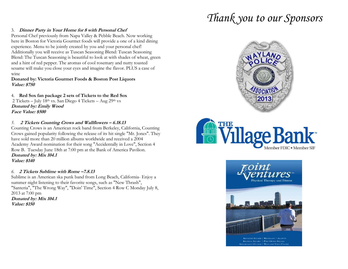# *Thank you to our Sponsors*

#### 3. **Dinner Party in Your Home for 8 with Personal Chef**

Personal Chef previously from Napa Valley & Pebble Beach. Now working here in Boston for Victoria Gourmet foods will provide a one of a kind dining experience. Menu to be jointly created by you and your personal chef! Additionally you will receive as Tuscan Seasoning Blend: Tuscan Seasoning Blend: The Tuscan Seasoning is beautiful to look at with shades of wheat, green and a hint of red pepper. The aromas of cool rosemary and nutty toasted sesame will make you close your eyes and imagine the flavor. PLUS a case of wine

#### **Donated by: Victoria Gourmet Foods & Boston Post Liquors Value: \$750**

4. **Red Sox fan package 2 sets of Tickets to the Red Sox** 2 Tickets – July 18th vs. San Diego 4 Tickets – Aug 29th vs **Donated by: Emily Wood Face Value: \$500**

#### *5.* **2 Tickets Counting Crows and Wallflowers – 6.18.13**

Counting Crows is an American rock band from Berkeley, California, Counting Crows gained popularity following the release of its hit single "Mr. Jones". They have sold more than 20 million albums worldwide and received a 2004 Academy Award nomination for their song "Accidentally in Love", Section 4 Row B. Tuesday June 18th at 7:00 pm at the Bank of America Pavilion. **Donated by: Mix 104.1 Value: \$140**

#### *6.* **2 Tickets Sublime with Rome –7.8.13**

Sublime is an American ska punk band from Long Beach, California- Enjoy a summer night listening to their favorite songs, such as "New Thrash", "Santeria", "The Wrong Way", "Doin' Time", Section 4 Row C Monday July 8, 2013 at 7:00 pm

**Donated by: Mix 104.1 Value: \$150**







MORE SQUARE | BROOKLINE / ALLSTO **KENDALL SQUARE | POST OFFICE SQUARE**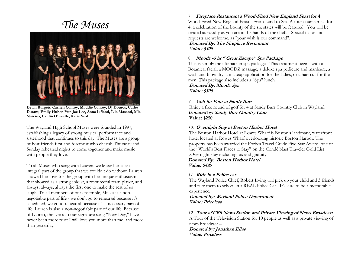### *The Muses*



**Devin Burgett, Cashen Conroy, Maddie Conroy, DJ Douros, Carley Durant, Emily Huber, Yun Jae Lee, Anna Lifland, Lila Masand, Mia Narciso, Caitlin O'Keeffe, Katie Veal**

The Wayland High School Muses were founded in 1997, establishing a legacy of strong musical performance and sisterhood that continues to this day. The Muses are a group of best friends first and foremost who cherish Thursday and Sunday rehearsal nights to come together and make music with people they love.

To all Muses who sang with Lauren, we knew her as an integral part of the group that we couldn't do without. Lauren showed her love for the group with her unique enthusiasm that showed as a strong soloist, a resourceful team player, and always, always, always the first one to make the rest of us laugh. To all members of our ensemble, Muses is a nonnegotiable part of life - we don't go to rehearsal because it's scheduled, we go to rehearsal because it's a necessary part of life. Lauren is also a non-negotiable part of our life. Because of Lauren, the lyrics to our signature song "New Day," have never been more true: I will love you more than me, and more than yesterday.

#### 7. **Fireplace Restaurant's Wood-Fired New England Feast for 4**

Wood-Fired New England Feast - From Land to Sea. A four course meal for 4; a celebration of the bounty of the six states will be featured. You will be treated as royalty as you are in the hands of the chef!!! Special tastes and requests are welcome, as "your wish is our command".

**Donated By: The Fireplace Restaurant Value: \$300**

#### 8. **Moodz -5 hr " Great Escape" Spa Package**

This is simply the ultimate in spa packages. This treatment begins with a Botanical facial, a MOODZ massage, a deluxe spa pedicure and manicure, a wash and blow dry, a makeup application for the ladies, or a hair cut for the men. This package also includes a "Spa" lunch.

**Donated By: Moodz Spa Value: \$300**

#### *9.* **Golf for Four at Sandy Burr**

Enjoy a free round of golf for 4 at Sandy Burr Country Club in Wayland. **Donated by: Sandy Burr Country Club Value: \$250**

#### *10.* **Overnight Stay at Boston Harbor Hotel**

The Boston Harbor Hotel at Rowes Wharf is Boston's landmark, waterfront hotel located at Rowes Wharf overlooking historic Boston Harbor. The property has been awarded the Forbes Travel Guide Five Star Award. one of the "World's Best Places to Stay" on the Condé Nast Traveler Gold List .Overnight stay including tax and gratuity

#### **Donated By: Boston Harbor Hotel Value: \$495**

#### *11.* **Ride in a Police car**

The Wayland Police Chief, Robert Irving will pick up your child and 3 friends and take them to school in a REAL Police Car. It's sure to be a memorable experience.

**Donated by: Wayland Police Department Value: Priceless**

#### *12.* **Tour of CBS News Station and Private Viewing of News Broadcast**

A Tour of the Television Station for 10 people as well as a private viewing of news broadcast –

**Donated by: Jonathan Elias Value: Priceless**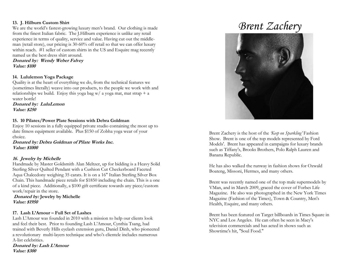#### **13. J. Hilburn Custom Shirt**

We are the world's fastest-growing luxury men's brand. Our clothing is made from the finest Italian fabric. The J.Hilburn experience is unlike any retail experience in terms of quality, service and value. Having cut out the middleman (retail store), our pricing is 30-60% off retail so that we can offer luxury within reach. #1 seller of custom shirts in the US and Esquire mag recently named us the best dress shirt around.

#### **Donated by: Wendy Weber Falvey Value: \$100**

#### **14. Lululemon Yoga Package**

Quality is at the heart of everything we do, from the technical features we (sometimes literally) weave into our products, to the people we work with and relationships we build. Enjoy this yoga bag w/ a yoga mat, mat strap  $+$  a water bottle!

**Donated by: LuluLemon Value: \$250**

#### **15. 10 Pilates/Power Plate Sessions with Debra Goldman**

Enjoy 10 sessions in a fully equipped private studio containing the most up to date fitness equipment available. Plus \$150 of Zobha yoga wear of your choice.

**Donated by: Debra Goldman of Pilate Works Inc. Value: \$1000**

#### **16. Jewelry by Michelle**

Handmade by Master Goldsmith Alan Meltzer, up for bidding is a Heavy Solid Sterling Silver Quilted Pendant with a Cushion Cut Checkerboard Faceted Aqua Chalcedony weighing 35 carats. It is on a 16" Italian Sterling Silver Box Chain. This handmade piece retails for \$1850 including the chain. This is a one of a kind piece. Additionally, a \$100 gift certificate towards any piece/custom work/repair in the store.

**12. Donated by: Jewelry by Michelle Value: \$1950**

#### **17. Lash L'Amour – Full Set of Lashes**

Lash L'Amour was founded in 2010 with a mission to help our clients look and feel their best. Prior to founding Lash L'Amour, Cynthia Tsang, had trained with Beverly Hills eyelash extension guru, Daniel Dinh, who pioneered a revolutionary multi-layers technique and who's clientele includes numerous A-list celebrities.

**Donated by: Lash L'Amour Value: \$300**

# *Brent Zachery*



Brent Zachery is the host of the *'Keep on Sparkling'* Fashion Show. Brent is one of the top models represented by Ford Models'. Brent has appeared in campaigns for luxury brands such as Tiffany's, Brooks Brothers, Polo Ralph Lauren and Banana Republic.

He has also walked the runway in fashion shows for Ozwald Boateng, Missoni, Hermes, and many others.

Brent was recently named one of the top male supermodels by VMan, and in March 2009, graced the cover of Forbes Life Magazine. He also was photographed in the New York Times Magazine (Fashion of the Times), Town & Country, Men's Health, Esquire, and many others.

Brent has been featured on Target billboards in Times Square in NYC and Los Angeles. He can often be seen in Macy's television commercials and has acted in shows such as Showtime's hit, "Soul Food."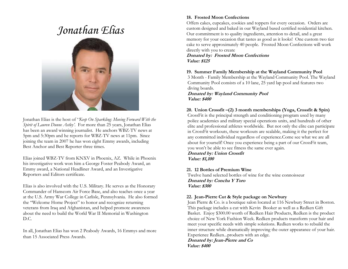# *Jonathan Elias*



Jonathan Elias is the host of '*'Keep On Sparkling: Moving Forward With the Spirit of Lauren Dunne Astley'*. For more than 25 years, Jonathan Elias has been an award winning journalist. He anchors WBZ-TV news at 5pm and 5:30pm and he reports for WBZ-TV news at 11pm. Since joining the team in 2007 he has won eight Emmy awards, including Best Anchor and Best Reporter three times.

Elias joined WBZ-TV from KNXV in Phoenix, AZ. While in Phoenix his investigative work won him a George Foster Peabody Award, an Emmy award, a National Headliner Award, and an Investigative Reporters and Editors certificate.

Elias is also involved with the U.S. Military. He serves as the Honorary Commander of Hanscom Air Force Base, and also teaches once a year at the U.S. Army War College in Carlisle, Pennsylvania. He also formed the "Welcome Home Project" to honor and recognize returning veterans from Iraq and Afghanistan, and helped promote awareness about the need to build the World War II Memorial in Washington  $D C$ 

In all, Jonathan Elias has won 2 Peabody Awards, 16 Emmys and more than 15 Associated Press Awards.

#### **18. Frosted Moon Confections**

Offers cakes, cupcakes, cookies and toppers for every occasion. Orders are custom designed and baked in our Wayland based certified residential kitchen. Our commitment is to quality ingredients, attention to detail, and a great memory for your occasion that tastes as good as it looks! One custom two tier cake to serve approximately 40 people. Frosted Moon Confections will work directly with you to create

**Donated by: Frosted Moon Confections Value: \$125**

#### **19. Summer Family Membership at the Wayland Community Pool**

3 Month - Family Membership at the Wayland Community Pool. The Wayland Community Pool consists of a 10 lane, 25 yard lap pool and features two diving boards.

**Donated by: Wayland Community Pool Value: \$400**

#### **20. Union Crossfit –(2) 3 month memberships (Yoga, Crossfit & Spin)**

CrossFit is the principal strength and conditioning program used by many police academies and military special operations units, and hundreds of other elite and professional athletes worldwide. But not only the elite can participate in CrossFit workouts, these workouts are scalable, making it the perfect for any committed individual regardless of experience.Come see what we are all about for yourself! Once you experience being a part of our CrossFit team, you won't be able to see fitness the same ever again.

**Donated by: Union Crossfit Value: \$1,100**

#### **21. 12 Bottles of Premium Wine**

Twelve hand selected bottles of wine for the wine connoisseur **Donated by: Concha Y Toro Value: \$300**

#### **22. Jean-Pierre Cut & Style package on Newbury**

Jean Pierre & Co. is a boutique salon located at 116 Newbury Street in Boston. This package includes a cut with Kevin Booker as well as a Redken Gift Basket. Enjoy \$300.00 worth of Redken Hair Products, Redken is the product choice of New York Fashion Week. Redken products transform your hair and meet your specific needs with simple solutions. Redken works to rebuild the inner structure while dramatically improving the outer appearance of your hair. Experience Redken...products with an edge.

**Donated by: Jean-Pierre and Co Value: \$400**